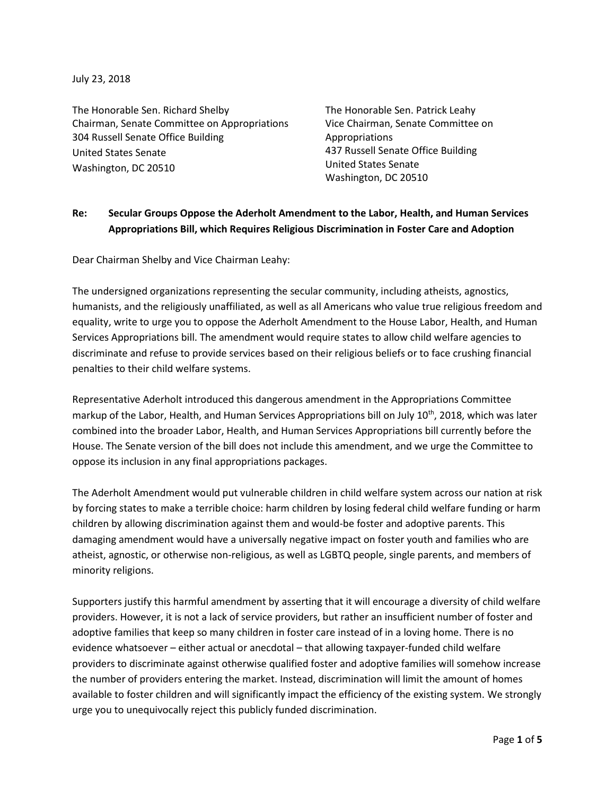July 23, 2018

The Honorable Sen. Richard Shelby Chairman, Senate Committee on Appropriations 304 Russell Senate Office Building United States Senate Washington, DC 20510

The Honorable Sen. Patrick Leahy Vice Chairman, Senate Committee on Appropriations 437 Russell Senate Office Building United States Senate Washington, DC 20510

#### **Re: Secular Groups Oppose the Aderholt Amendment to the Labor, Health, and Human Services Appropriations Bill, which Requires Religious Discrimination in Foster Care and Adoption**

Dear Chairman Shelby and Vice Chairman Leahy:

The undersigned organizations representing the secular community, including atheists, agnostics, humanists, and the religiously unaffiliated, as well as all Americans who value true religious freedom and equality, write to urge you to oppose the Aderholt Amendment to the House Labor, Health, and Human Services Appropriations bill. The amendment would require states to allow child welfare agencies to discriminate and refuse to provide services based on their religious beliefs or to face crushing financial penalties to their child welfare systems.

Representative Aderholt introduced this dangerous amendment in the Appropriations Committee markup of the Labor, Health, and Human Services Appropriations bill on July 10<sup>th</sup>, 2018, which was later combined into the broader Labor, Health, and Human Services Appropriations bill currently before the House. The Senate version of the bill does not include this amendment, and we urge the Committee to oppose its inclusion in any final appropriations packages.

The Aderholt Amendment would put vulnerable children in child welfare system across our nation at risk by forcing states to make a terrible choice: harm children by losing federal child welfare funding or harm children by allowing discrimination against them and would-be foster and adoptive parents. This damaging amendment would have a universally negative impact on foster youth and families who are atheist, agnostic, or otherwise non-religious, as well as LGBTQ people, single parents, and members of minority religions.

Supporters justify this harmful amendment by asserting that it will encourage a diversity of child welfare providers. However, it is not a lack of service providers, but rather an insufficient number of foster and adoptive families that keep so many children in foster care instead of in a loving home. There is no evidence whatsoever – either actual or anecdotal – that allowing taxpayer-funded child welfare providers to discriminate against otherwise qualified foster and adoptive families will somehow increase the number of providers entering the market. Instead, discrimination will limit the amount of homes available to foster children and will significantly impact the efficiency of the existing system. We strongly urge you to unequivocally reject this publicly funded discrimination.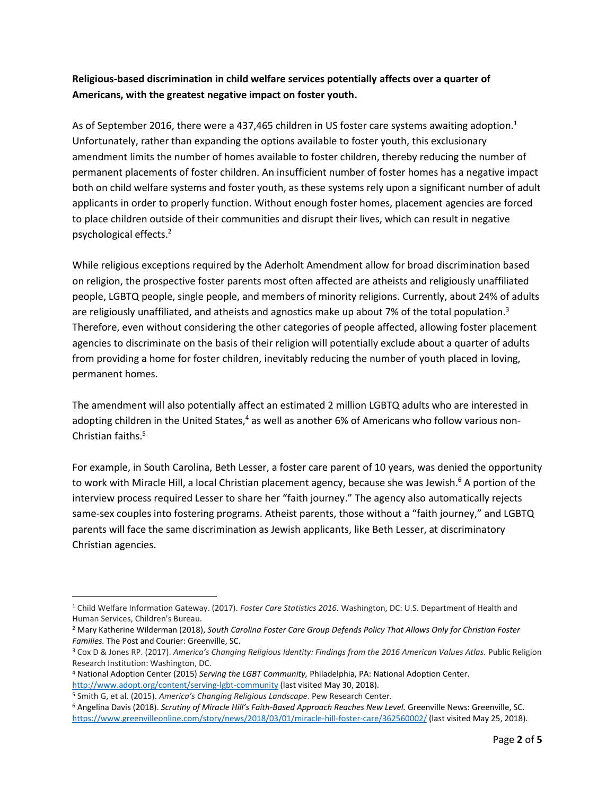#### **Religious-based discrimination in child welfare services potentially affects over a quarter of Americans, with the greatest negative impact on foster youth.**

As of September 2016, there were a 437,465 children in US foster care systems awaiting adoption.<sup>1</sup> Unfortunately, rather than expanding the options available to foster youth, this exclusionary amendment limits the number of homes available to foster children, thereby reducing the number of permanent placements of foster children. An insufficient number of foster homes has a negative impact both on child welfare systems and foster youth, as these systems rely upon a significant number of adult applicants in order to properly function. Without enough foster homes, placement agencies are forced to place children outside of their communities and disrupt their lives, which can result in negative psychological effects.<sup>2</sup>

While religious exceptions required by the Aderholt Amendment allow for broad discrimination based on religion, the prospective foster parents most often affected are atheists and religiously unaffiliated people, LGBTQ people, single people, and members of minority religions. Currently, about 24% of adults are religiously unaffiliated, and atheists and agnostics make up about 7% of the total population.<sup>3</sup> Therefore, even without considering the other categories of people affected, allowing foster placement agencies to discriminate on the basis of their religion will potentially exclude about a quarter of adults from providing a home for foster children, inevitably reducing the number of youth placed in loving, permanent homes.

The amendment will also potentially affect an estimated 2 million LGBTQ adults who are interested in adopting children in the United States,<sup>4</sup> as well as another 6% of Americans who follow various non-Christian faiths.<sup>5</sup>

For example, in South Carolina, Beth Lesser, a foster care parent of 10 years, was denied the opportunity to work with Miracle Hill, a local Christian placement agency, because she was Jewish.<sup>6</sup> A portion of the interview process required Lesser to share her "faith journey." The agency also automatically rejects same-sex couples into fostering programs. Atheist parents, those without a "faith journey," and LGBTQ parents will face the same discrimination as Jewish applicants, like Beth Lesser, at discriminatory Christian agencies.

 $\overline{\phantom{a}}$ <sup>1</sup> Child Welfare Information Gateway. (2017). *Foster Care Statistics 2016.* Washington, DC: U.S. Department of Health and Human Services, Children's Bureau.

<sup>2</sup> Mary Katherine Wilderman (2018), *South Carolina Foster Care Group Defends Policy That Allows Only for Christian Foster Families.* The Post and Courier: Greenville, SC.

<sup>3</sup> Cox D & Jones RP. (2017). *America's Changing Religious Identity: Findings from the 2016 American Values Atlas.* Public Religion Research Institution: Washington, DC.

<sup>4</sup> National Adoption Center (2015) *Serving the LGBT Community,* Philadelphia, PA: National Adoption Center. <http://www.adopt.org/content/serving-lgbt-community> (last visited May 30, 2018).

<sup>5</sup> Smith G, et al. (2015). *America's Changing Religious Landscape*. Pew Research Center.

<sup>6</sup> Angelina Davis (2018). *Scrutiny of Miracle Hill's Faith-Based Approach Reaches New Level.* Greenville News: Greenville, SC. <https://www.greenvilleonline.com/story/news/2018/03/01/miracle-hill-foster-care/362560002/> (last visited May 25, 2018).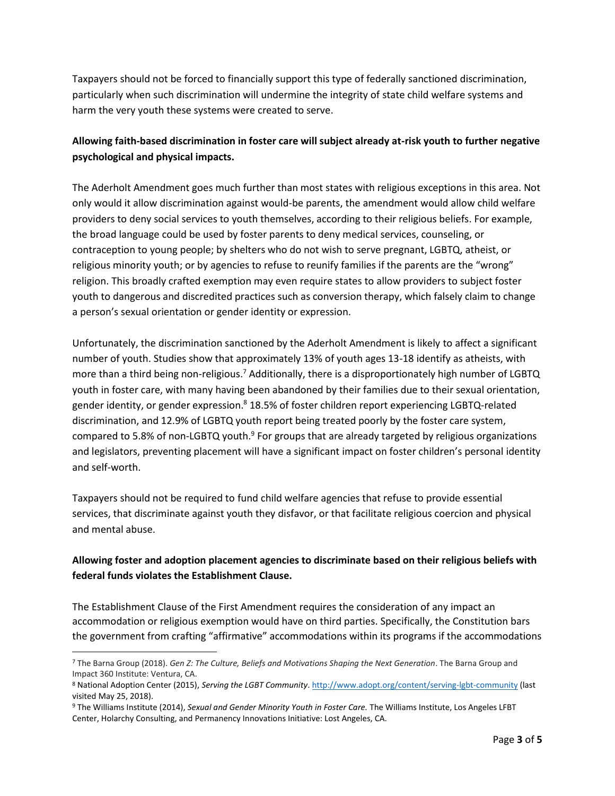Taxpayers should not be forced to financially support this type of federally sanctioned discrimination, particularly when such discrimination will undermine the integrity of state child welfare systems and harm the very youth these systems were created to serve.

## **Allowing faith-based discrimination in foster care will subject already at-risk youth to further negative psychological and physical impacts.**

The Aderholt Amendment goes much further than most states with religious exceptions in this area. Not only would it allow discrimination against would-be parents, the amendment would allow child welfare providers to deny social services to youth themselves, according to their religious beliefs. For example, the broad language could be used by foster parents to deny medical services, counseling, or contraception to young people; by shelters who do not wish to serve pregnant, LGBTQ, atheist, or religious minority youth; or by agencies to refuse to reunify families if the parents are the "wrong" religion. This broadly crafted exemption may even require states to allow providers to subject foster youth to dangerous and discredited practices such as conversion therapy, which falsely claim to change a person's sexual orientation or gender identity or expression.

Unfortunately, the discrimination sanctioned by the Aderholt Amendment is likely to affect a significant number of youth. Studies show that approximately 13% of youth ages 13-18 identify as atheists, with more than a third being non-religious.<sup>7</sup> Additionally, there is a disproportionately high number of LGBTQ youth in foster care, with many having been abandoned by their families due to their sexual orientation, gender identity, or gender expression.<sup>8</sup> 18.5% of foster children report experiencing LGBTQ-related discrimination, and 12.9% of LGBTQ youth report being treated poorly by the foster care system, compared to 5.8% of non-LGBTQ youth. $^9$  For groups that are already targeted by religious organizations and legislators, preventing placement will have a significant impact on foster children's personal identity and self-worth.

Taxpayers should not be required to fund child welfare agencies that refuse to provide essential services, that discriminate against youth they disfavor, or that facilitate religious coercion and physical and mental abuse.

## **Allowing foster and adoption placement agencies to discriminate based on their religious beliefs with federal funds violates the Establishment Clause.**

The Establishment Clause of the First Amendment requires the consideration of any impact an accommodation or religious exemption would have on third parties. Specifically, the Constitution bars the government from crafting "affirmative" accommodations within its programs if the accommodations

 $\overline{\phantom{a}}$ 

<sup>7</sup> The Barna Group (2018). *Gen Z: The Culture, Beliefs and Motivations Shaping the Next Generation*. The Barna Group and Impact 360 Institute: Ventura, CA.

<sup>8</sup> National Adoption Center (2015), *Serving the LGBT Community*[. http://www.adopt.org/content/serving-lgbt-community](http://www.adopt.org/content/serving-lgbt-community) (last visited May 25, 2018).

<sup>9</sup> The Williams Institute (2014), *Sexual and Gender Minority Youth in Foster Care.* The Williams Institute, Los Angeles LFBT Center, Holarchy Consulting, and Permanency Innovations Initiative: Lost Angeles, CA.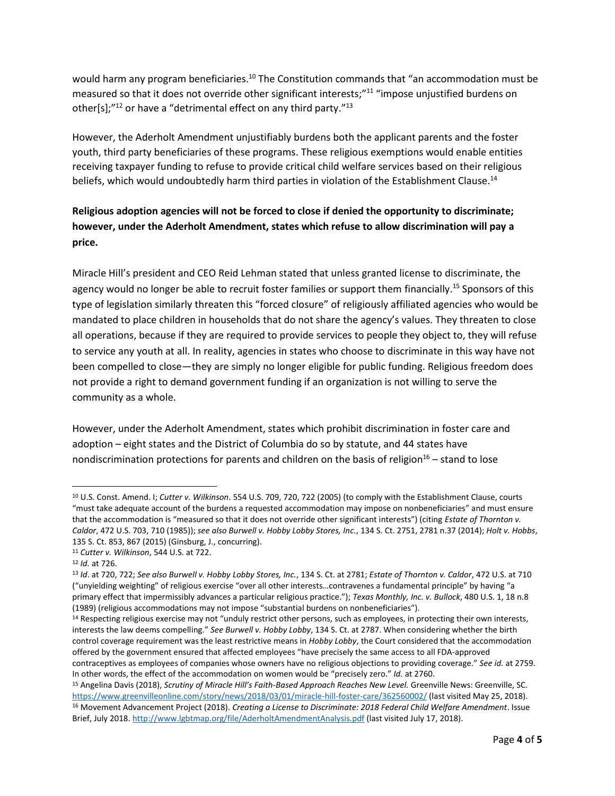would harm any program beneficiaries.<sup>10</sup> The Constitution commands that "an accommodation must be measured so that it does not override other significant interests;"<sup>11</sup> "impose unjustified burdens on other[s];"<sup>12</sup> or have a "detrimental effect on any third party."<sup>13</sup>

However, the Aderholt Amendment unjustifiably burdens both the applicant parents and the foster youth, third party beneficiaries of these programs. These religious exemptions would enable entities receiving taxpayer funding to refuse to provide critical child welfare services based on their religious beliefs, which would undoubtedly harm third parties in violation of the Establishment Clause.<sup>14</sup>

# **Religious adoption agencies will not be forced to close if denied the opportunity to discriminate; however, under the Aderholt Amendment, states which refuse to allow discrimination will pay a price.**

Miracle Hill's president and CEO Reid Lehman stated that unless granted license to discriminate, the agency would no longer be able to recruit foster families or support them financially.<sup>15</sup> Sponsors of this type of legislation similarly threaten this "forced closure" of religiously affiliated agencies who would be mandated to place children in households that do not share the agency's values. They threaten to close all operations, because if they are required to provide services to people they object to, they will refuse to service any youth at all. In reality, agencies in states who choose to discriminate in this way have not been compelled to close—they are simply no longer eligible for public funding. Religious freedom does not provide a right to demand government funding if an organization is not willing to serve the community as a whole.

However, under the Aderholt Amendment, states which prohibit discrimination in foster care and adoption – eight states and the District of Columbia do so by statute, and 44 states have nondiscrimination protections for parents and children on the basis of religion $16 -$  stand to lose

 $\overline{\phantom{a}}$ 

<sup>10</sup> U.S. Const. Amend. I; *Cutter v. Wilkinson*. 554 U.S. 709, 720, 722 (2005) (to comply with the Establishment Clause, courts "must take adequate account of the burdens a requested accommodation may impose on nonbeneficiaries" and must ensure that the accommodation is "measured so that it does not override other significant interests") (citing *Estate of Thornton v. Caldor*, 472 U.S. 703, 710 (1985)); *see also Burwell v. Hobby Lobby Stores, Inc.*, 134 S. Ct. 2751, 2781 n.37 (2014); *Holt v. Hobbs*, 135 S. Ct. 853, 867 (2015) (Ginsburg, J., concurring).

<sup>11</sup> *Cutter v. Wilkinson*, 544 U.S. at 722.

<sup>12</sup> *Id.* at 726.

<sup>13</sup> *Id*. at 720, 722; *See also Burwell v. Hobby Lobby Stores, Inc.*, 134 S. Ct. at 2781; *Estate of Thornton v. Caldor*, 472 U.S. at 710 ("unyielding weighting" of religious exercise "over all other interests…contravenes a fundamental principle" by having "a primary effect that impermissibly advances a particular religious practice."); *Texas Monthly, Inc. v. Bullock*, 480 U.S. 1, 18 n.8 (1989) (religious accommodations may not impose "substantial burdens on nonbeneficiaries").

<sup>&</sup>lt;sup>14</sup> Respecting religious exercise may not "unduly restrict other persons, such as employees, in protecting their own interests, interests the law deems compelling." *See Burwell v. Hobby Lobby*, 134 S. Ct. at 2787. When considering whether the birth control coverage requirement was the least restrictive means in *Hobby Lobby*, the Court considered that the accommodation offered by the government ensured that affected employees "have precisely the same access to all FDA-approved contraceptives as employees of companies whose owners have no religious objections to providing coverage." *See id.* at 2759. In other words, the effect of the accommodation on women would be "precisely zero." *Id.* at 2760.

<sup>15</sup> Angelina Davis (2018), *Scrutiny of Miracle Hill's Faith-Based Approach Reaches New Level.* Greenville News: Greenville, SC. <https://www.greenvilleonline.com/story/news/2018/03/01/miracle-hill-foster-care/362560002/> (last visited May 25, 2018). <sup>16</sup> Movement Advancement Project (2018). *Creating a License to Discriminate: 2018 Federal Child Welfare Amendment*. Issue Brief, July 2018.<http://www.lgbtmap.org/file/AderholtAmendmentAnalysis.pdf> (last visited July 17, 2018).